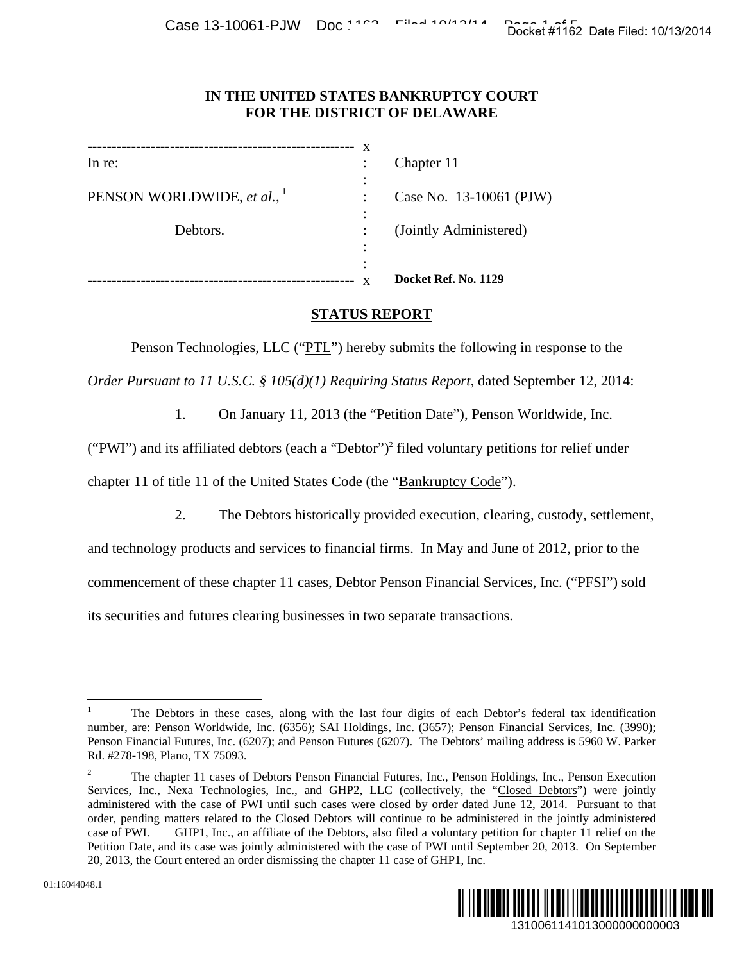## **IN THE UNITED STATES BANKRUPTCY COURT FOR THE DISTRICT OF DELAWARE**

|                                | X         |                         |
|--------------------------------|-----------|-------------------------|
| In re:                         | ٠         | Chapter 11              |
|                                | $\bullet$ |                         |
| PENSON WORLDWIDE, et al., $^1$ |           | Case No. 13-10061 (PJW) |
|                                | ٠<br>٠    |                         |
| Debtors.                       |           | (Jointly Administered)  |
|                                | ٠         |                         |
|                                | ٠<br>٠    |                         |
|                                |           | Docket Ref. No. 1129    |

# **STATUS REPORT**

Penson Technologies, LLC ("PTL") hereby submits the following in response to the

*Order Pursuant to 11 U.S.C. § 105(d)(1) Requiring Status Report*, dated September 12, 2014:

1. On January 11, 2013 (the "Petition Date"), Penson Worldwide, Inc.

("PWI") and its affiliated debtors (each a " $Debtor$ ")<sup>2</sup> filed voluntary petitions for relief under chapter 11 of title 11 of the United States Code (the "Bankruptcy Code").

2. The Debtors historically provided execution, clearing, custody, settlement,

and technology products and services to financial firms. In May and June of 2012, prior to the commencement of these chapter 11 cases, Debtor Penson Financial Services, Inc. ("PFSI") sold its securities and futures clearing businesses in two separate transactions.

 $\overline{2}$  The chapter 11 cases of Debtors Penson Financial Futures, Inc., Penson Holdings, Inc., Penson Execution Services, Inc., Nexa Technologies, Inc., and GHP2, LLC (collectively, the "Closed Debtors") were jointly administered with the case of PWI until such cases were closed by order dated June 12, 2014. Pursuant to that order, pending matters related to the Closed Debtors will continue to be administered in the jointly administered case of PWI. GHP1, Inc., an affiliate of the Debtors, also filed a voluntary petition for chapter 11 relief on the Petition Date, and its case was jointly administered with the case of PWI until September 20, 2013. On September 20, 2013, the Court entered an order dismissing the chapter 11 case of GHP1, Inc. 1310061141013000000000003 Docket #1162 Date Filed: 10/13/2014



 $\overline{a}$ 

<sup>1</sup> The Debtors in these cases, along with the last four digits of each Debtor's federal tax identification number, are: Penson Worldwide, Inc. (6356); SAI Holdings, Inc. (3657); Penson Financial Services, Inc. (3990); Penson Financial Futures, Inc. (6207); and Penson Futures (6207). The Debtors' mailing address is 5960 W. Parker Rd. #278-198, Plano, TX 75093.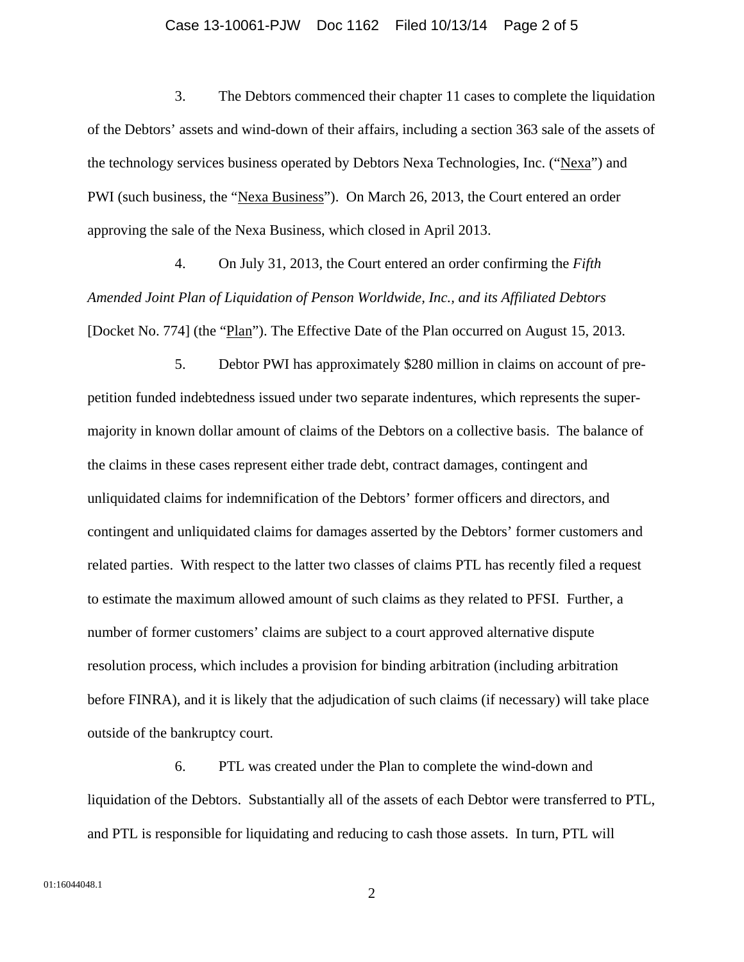#### Case 13-10061-PJW Doc 1162 Filed 10/13/14 Page 2 of 5

3. The Debtors commenced their chapter 11 cases to complete the liquidation of the Debtors' assets and wind-down of their affairs, including a section 363 sale of the assets of the technology services business operated by Debtors Nexa Technologies, Inc. ("Nexa") and PWI (such business, the "Nexa Business"). On March 26, 2013, the Court entered an order approving the sale of the Nexa Business, which closed in April 2013.

4. On July 31, 2013, the Court entered an order confirming the *Fifth Amended Joint Plan of Liquidation of Penson Worldwide, Inc., and its Affiliated Debtors* [Docket No. 774] (the "Plan"). The Effective Date of the Plan occurred on August 15, 2013.

5. Debtor PWI has approximately \$280 million in claims on account of prepetition funded indebtedness issued under two separate indentures, which represents the supermajority in known dollar amount of claims of the Debtors on a collective basis. The balance of the claims in these cases represent either trade debt, contract damages, contingent and unliquidated claims for indemnification of the Debtors' former officers and directors, and contingent and unliquidated claims for damages asserted by the Debtors' former customers and related parties. With respect to the latter two classes of claims PTL has recently filed a request to estimate the maximum allowed amount of such claims as they related to PFSI. Further, a number of former customers' claims are subject to a court approved alternative dispute resolution process, which includes a provision for binding arbitration (including arbitration before FINRA), and it is likely that the adjudication of such claims (if necessary) will take place outside of the bankruptcy court.

6. PTL was created under the Plan to complete the wind-down and liquidation of the Debtors. Substantially all of the assets of each Debtor were transferred to PTL, and PTL is responsible for liquidating and reducing to cash those assets. In turn, PTL will

2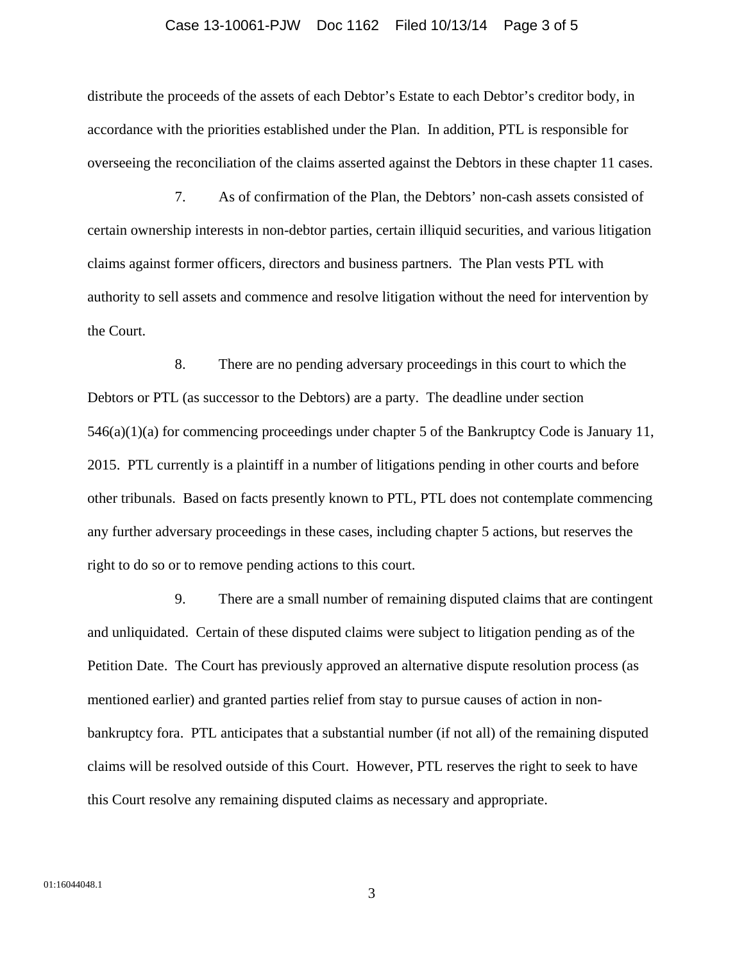#### Case 13-10061-PJW Doc 1162 Filed 10/13/14 Page 3 of 5

distribute the proceeds of the assets of each Debtor's Estate to each Debtor's creditor body, in accordance with the priorities established under the Plan. In addition, PTL is responsible for overseeing the reconciliation of the claims asserted against the Debtors in these chapter 11 cases.

7. As of confirmation of the Plan, the Debtors' non-cash assets consisted of certain ownership interests in non-debtor parties, certain illiquid securities, and various litigation claims against former officers, directors and business partners. The Plan vests PTL with authority to sell assets and commence and resolve litigation without the need for intervention by the Court.

8. There are no pending adversary proceedings in this court to which the Debtors or PTL (as successor to the Debtors) are a party. The deadline under section 546(a)(1)(a) for commencing proceedings under chapter 5 of the Bankruptcy Code is January 11, 2015. PTL currently is a plaintiff in a number of litigations pending in other courts and before other tribunals. Based on facts presently known to PTL, PTL does not contemplate commencing any further adversary proceedings in these cases, including chapter 5 actions, but reserves the right to do so or to remove pending actions to this court.

9. There are a small number of remaining disputed claims that are contingent and unliquidated. Certain of these disputed claims were subject to litigation pending as of the Petition Date. The Court has previously approved an alternative dispute resolution process (as mentioned earlier) and granted parties relief from stay to pursue causes of action in nonbankruptcy fora. PTL anticipates that a substantial number (if not all) of the remaining disputed claims will be resolved outside of this Court. However, PTL reserves the right to seek to have this Court resolve any remaining disputed claims as necessary and appropriate.

3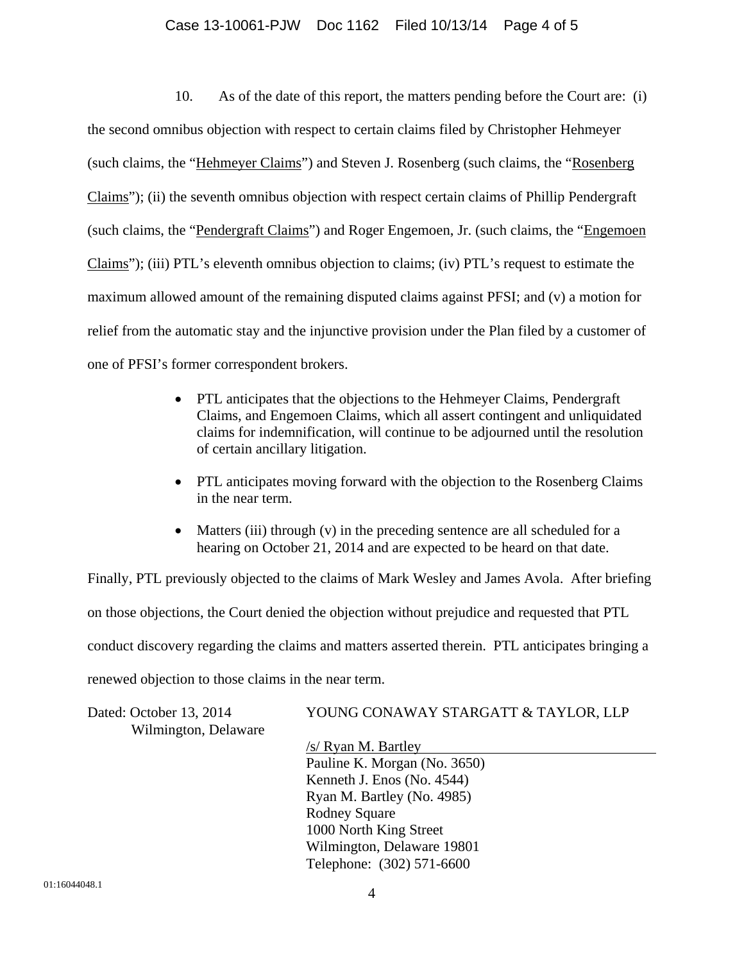### Case 13-10061-PJW Doc 1162 Filed 10/13/14 Page 4 of 5

10. As of the date of this report, the matters pending before the Court are: (i) the second omnibus objection with respect to certain claims filed by Christopher Hehmeyer (such claims, the "Hehmeyer Claims") and Steven J. Rosenberg (such claims, the "Rosenberg Claims"); (ii) the seventh omnibus objection with respect certain claims of Phillip Pendergraft (such claims, the "Pendergraft Claims") and Roger Engemoen, Jr. (such claims, the "Engemoen Claims"); (iii) PTL's eleventh omnibus objection to claims; (iv) PTL's request to estimate the maximum allowed amount of the remaining disputed claims against PFSI; and (v) a motion for relief from the automatic stay and the injunctive provision under the Plan filed by a customer of one of PFSI's former correspondent brokers.

- PTL anticipates that the objections to the Hehmeyer Claims, Pendergraft Claims, and Engemoen Claims, which all assert contingent and unliquidated claims for indemnification, will continue to be adjourned until the resolution of certain ancillary litigation.
- PTL anticipates moving forward with the objection to the Rosenberg Claims in the near term.
- Matters (iii) through (v) in the preceding sentence are all scheduled for a hearing on October 21, 2014 and are expected to be heard on that date.

Finally, PTL previously objected to the claims of Mark Wesley and James Avola. After briefing on those objections, the Court denied the objection without prejudice and requested that PTL conduct discovery regarding the claims and matters asserted therein. PTL anticipates bringing a renewed objection to those claims in the near term.

| Dated: October 13, 2014 | YOUNG CONAWAY STARGATT & TAYLOR, LLP |
|-------------------------|--------------------------------------|
| Wilmington, Delaware    |                                      |
|                         | $/s/$ Ryan M. Bartley                |
|                         | Pauline K. Morgan (No. 3650)         |
|                         | Kenneth J. Enos (No. 4544)           |
|                         | Ryan M. Bartley (No. 4985)           |
|                         | <b>Rodney Square</b>                 |
|                         | 1000 North King Street               |
|                         | Wilmington, Delaware 19801           |
|                         | Telephone: (302) 571-6600            |